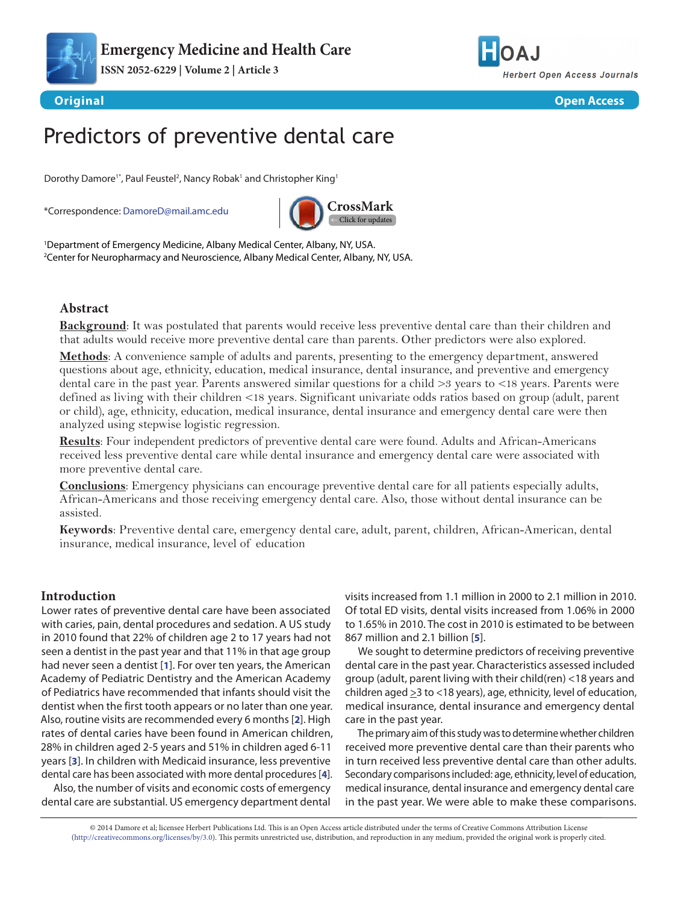

**ISSN 2052-6229 | Volume 2 | Article 3**



**Original Open Access**

# Predictors of preventive dental care

Dorothy Damore<sup>1\*</sup>, Paul Feustel<sup>2</sup>, Nancy Robak<sup>1</sup> and Christopher King<sup>1</sup>

\*Correspondence: [DamoreD@mail.amc.edu](mailto:DamoreD%40mail.amc.edu?subject=)



1 Department of Emergency Medicine, Albany Medical Center, Albany, NY, USA. 2 Center for Neuropharmacy and Neuroscience, Albany Medical Center, Albany, NY, USA.

# **Abstract**

**Background**: It was postulated that parents would receive less preventive dental care than their children and that adults would receive more preventive dental care than parents. Other predictors were also explored.

**Methods**: A convenience sample of adults and parents, presenting to the emergency department, answered questions about age, ethnicity, education, medical insurance, dental insurance, and preventive and emergency dental care in the past year. Parents answered similar questions for a child >3 years to <18 years. Parents were defined as living with their children <18 years. Significant univariate odds ratios based on group (adult, parent or child), age, ethnicity, education, medical insurance, dental insurance and emergency dental care were then analyzed using stepwise logistic regression.

**Results**: Four independent predictors of preventive dental care were found. Adults and African-Americans received less preventive dental care while dental insurance and emergency dental care were associated with more preventive dental care.

**Conclusions**: Emergency physicians can encourage preventive dental care for all patients especially adults, African-Americans and those receiving emergency dental care. Also, those without dental insurance can be assisted.

**Keywords**: Preventive dental care, emergency dental care, adult, parent, children, African-American, dental insurance, medical insurance, level of education

# **Introduction**

Lower rates of preventive dental care have been associated with caries, pain, dental procedures and sedation. A US study in 2010 found that 22% of children age 2 to 17 years had not seen a dentist in the past year and that 11% in that age group had never seen a dentist [**[1](#page-3-0)**]. For over ten years, the American Academy of Pediatric Dentistry and the American Academy of Pediatrics have recommended that infants should visit the dentist when the first tooth appears or no later than one year. Also, routine visits are recommended every 6 months [**[2](#page-3-1)**]. High rates of dental caries have been found in American children, 28% in children aged 2-5 years and 51% in children aged 6-11 years [**[3](#page-3-2)**]. In children with Medicaid insurance, less preventive dental care has been associated with more dental procedures [**[4](#page-3-3)**].

Also, the number of visits and economic costs of emergency dental care are substantial. US emergency department dental

visits increased from 1.1 million in 2000 to 2.1 million in 2010. Of total ED visits, dental visits increased from 1.06% in 2000 to 1.65% in 2010. The cost in 2010 is estimated to be between 867 million and 2.1 billion [**[5](#page-3-4)**].

We sought to determine predictors of receiving preventive dental care in the past year. Characteristics assessed included group (adult, parent living with their child(ren) <18 years and children aged  $\geq$ 3 to <18 years), age, ethnicity, level of education, medical insurance, dental insurance and emergency dental care in the past year.

The primary aim of this study was to determine whether children received more preventive dental care than their parents who in turn received less preventive dental care than other adults. Secondary comparisons included: age, ethnicity, level of education, medical insurance, dental insurance and emergency dental care in the past year. We were able to make these comparisons.

© 2014 Damore et al; licensee Herbert Publications Ltd. This is an Open Access article distributed under the terms of Creative Commons Attribution License [\(http://creativecommons.org/licenses/by/3.0\)](http://creativecommons.org/licenses/by/3.0). This permits unrestricted use, distribution, and reproduction in any medium, provided the original work is properly cited.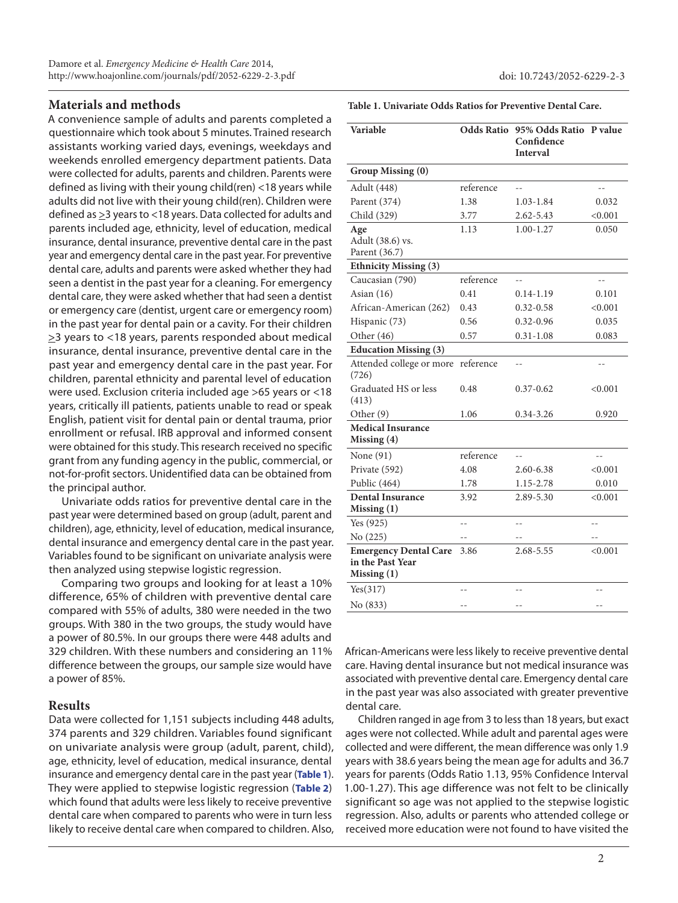# **Materials and methods**

A convenience sample of adults and parents completed a questionnaire which took about 5 minutes. Trained research assistants working varied days, evenings, weekdays and weekends enrolled emergency department patients. Data were collected for adults, parents and children. Parents were defined as living with their young child(ren) <18 years while adults did not live with their young child(ren). Children were defined as  $\geq$ 3 years to <18 years. Data collected for adults and parents included age, ethnicity, level of education, medical insurance, dental insurance, preventive dental care in the past year and emergency dental care in the past year. For preventive dental care, adults and parents were asked whether they had seen a dentist in the past year for a cleaning. For emergency dental care, they were asked whether that had seen a dentist or emergency care (dentist, urgent care or emergency room) in the past year for dental pain or a cavity. For their children >3 years to <18 years, parents responded about medical insurance, dental insurance, preventive dental care in the past year and emergency dental care in the past year. For children, parental ethnicity and parental level of education were used. Exclusion criteria included age >65 years or <18 years, critically ill patients, patients unable to read or speak English, patient visit for dental pain or dental trauma, prior enrollment or refusal. IRB approval and informed consent were obtained for this study. This research received no specific grant from any funding agency in the public, commercial, or not-for-profit sectors. Unidentified data can be obtained from the principal author.

Univariate odds ratios for preventive dental care in the past year were determined based on group (adult, parent and children), age, ethnicity, level of education, medical insurance, dental insurance and emergency dental care in the past year. Variables found to be significant on univariate analysis were then analyzed using stepwise logistic regression.

Comparing two groups and looking for at least a 10% difference, 65% of children with preventive dental care compared with 55% of adults, 380 were needed in the two groups. With 380 in the two groups, the study would have a power of 80.5%. In our groups there were 448 adults and 329 children. With these numbers and considering an 11% difference between the groups, our sample size would have a power of 85%.

# **Results**

Data were collected for 1,151 subjects including 448 adults, 374 parents and 329 children. Variables found significant on univariate analysis were group (adult, parent, child), age, ethnicity, level of education, medical insurance, dental insurance and emergency dental care in the past year (**Table 1**). They were applied to stepwise logistic regression (**[Table 2](#page-2-0)**) which found that adults were less likely to receive preventive dental care when compared to parents who were in turn less likely to receive dental care when compared to children. Also, **Table 1. Univariate Odds Ratios for Preventive Dental Care.**

| <b>Variable</b>                          |                | Odds Ratio 95% Odds Ratio P value |                |  |
|------------------------------------------|----------------|-----------------------------------|----------------|--|
|                                          |                | Confidence<br><b>Interval</b>     |                |  |
| Group Missing (0)                        |                |                                   |                |  |
| Adult (448)                              | reference      |                                   |                |  |
| Parent (374)                             | 1.38           | 1.03-1.84                         | 0.032          |  |
| Child (329)                              | 3.77           | 2.62-5.43                         | < 0.001        |  |
| Age<br>Adult (38.6) vs.<br>Parent (36.7) | 1.13           | $1.00 - 1.27$                     | 0.050          |  |
| <b>Ethnicity Missing (3)</b>             |                |                                   |                |  |
| Caucasian (790)                          | reference      |                                   |                |  |
| Asian $(16)$                             | 0.41           | $0.14 - 1.19$                     | 0.101          |  |
| African-American (262)                   | 0.43           | $0.32 - 0.58$                     | < 0.001        |  |
| Hispanic (73)                            | 0.56           | $0.32 - 0.96$                     | 0.035          |  |
| Other $(46)$                             | 0.57           | $0.31 - 1.08$                     | 0.083          |  |
| <b>Education Missing (3)</b>             |                |                                   |                |  |
| Attended college or more<br>(726)        | reference      | $\overline{\phantom{a}}$          | --             |  |
| Graduated HS or less<br>(413)            | 0.48           | $0.37 - 0.62$                     | < 0.001        |  |
| Other <sub>(9)</sub>                     | 1.06           | $0.34 - 3.26$                     | 0.920          |  |
| <b>Medical Insurance</b><br>Missing (4)  |                |                                   |                |  |
| None (91)                                | reference      | $-1$                              |                |  |
| Private (592)                            | 4.08           | 2.60-6.38                         | < 0.001        |  |
| Public (464)                             | 1.78           | 1.15-2.78                         | 0.010          |  |
| <b>Dental Insurance</b><br>Missing (1)   | 3.92           | 2.89-5.30                         | < 0.001        |  |
| Yes $(925)$                              | $-1$           |                                   |                |  |
| No (225)                                 | $\overline{a}$ |                                   |                |  |
| <b>Emergency Dental Care</b>             | 3.86           | 2.68-5.55                         | < 0.001        |  |
| in the Past Year<br>Missing (1)          |                |                                   |                |  |
| Yes(317)                                 | $\overline{a}$ | $\overline{a}$                    | $\overline{a}$ |  |
| No (833)                                 | $-$            | $-$                               | $-$            |  |

African-Americans were less likely to receive preventive dental care. Having dental insurance but not medical insurance was associated with preventive dental care. Emergency dental care in the past year was also associated with greater preventive dental care.

Children ranged in age from 3 to less than 18 years, but exact ages were not collected. While adult and parental ages were collected and were different, the mean difference was only 1.9 years with 38.6 years being the mean age for adults and 36.7 years for parents (Odds Ratio 1.13, 95% Confidence Interval 1.00-1.27). This age difference was not felt to be clinically significant so age was not applied to the stepwise logistic regression. Also, adults or parents who attended college or received more education were not found to have visited the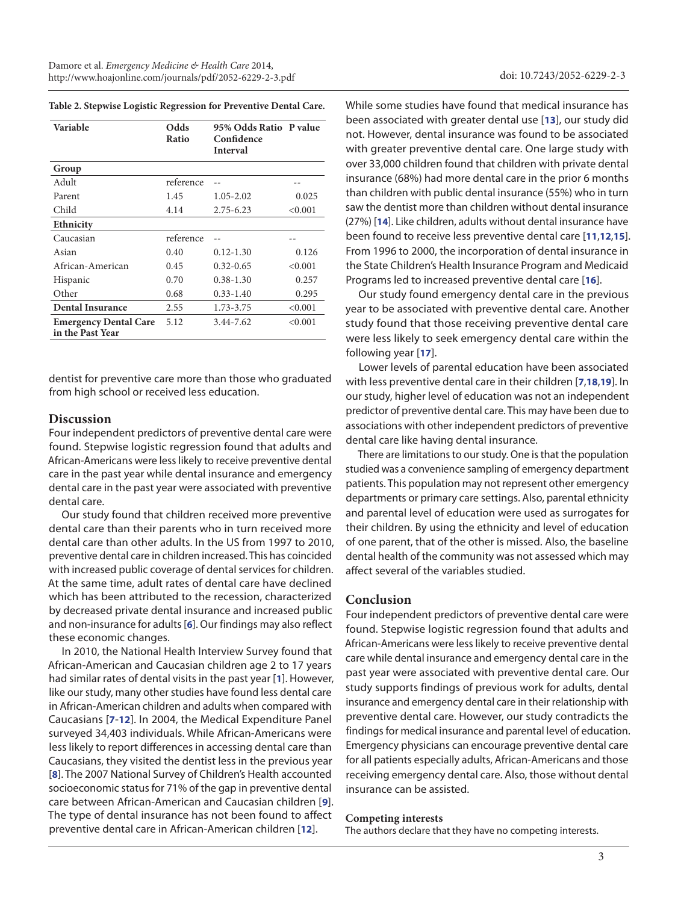| Variable                                         | Odds<br>Ratio | 95% Odds Ratio P value<br>Confidence<br><b>Interval</b> |         |
|--------------------------------------------------|---------------|---------------------------------------------------------|---------|
| Group                                            |               |                                                         |         |
| Adult                                            | reference     |                                                         |         |
| Parent                                           | 1.45          | $1.05 - 2.02$                                           | 0.025   |
| Child                                            | 4.14          | $2.75 - 6.23$                                           | < 0.001 |
| <b>Ethnicity</b>                                 |               |                                                         |         |
| Caucasian                                        | reference     |                                                         |         |
| Asian                                            | 0.40          | $0.12 - 1.30$                                           | 0.126   |
| African-American                                 | 0.45          | $0.32 - 0.65$                                           | < 0.001 |
| Hispanic                                         | 0.70          | $0.38 - 1.30$                                           | 0.257   |
| Other                                            | 0.68          | $0.33 - 1.40$                                           | 0.295   |
| <b>Dental Insurance</b>                          | 2.55          | 1.73-3.75                                               | < 0.001 |
| <b>Emergency Dental Care</b><br>in the Past Year | 5.12          | 3.44-7.62                                               | < 0.001 |

dentist for preventive care more than those who graduated from high school or received less education.

#### **Discussion**

Four independent predictors of preventive dental care were found. Stepwise logistic regression found that adults and African-Americans were less likely to receive preventive dental care in the past year while dental insurance and emergency dental care in the past year were associated with preventive dental care.

Our study found that children received more preventive dental care than their parents who in turn received more dental care than other adults. In the US from 1997 to 2010, preventive dental care in children increased. This has coincided with increased public coverage of dental services for children. At the same time, adult rates of dental care have declined which has been attributed to the recession, characterized by decreased private dental insurance and increased public and non-insurance for adults [**[6](#page-3-5)**]. Our findings may also reflect these economic changes.

In 2010, the National Health Interview Survey found that African-American and Caucasian children age 2 to 17 years had similar rates of dental visits in the past year [**[1](#page-3-0)**]. However, like our study, many other studies have found less dental care in African-American children and adults when compared with Caucasians [**[7](#page-3-6)**-**[12](#page-3-7)**]. In 2004, the Medical Expenditure Panel surveyed 34,403 individuals. While African-Americans were less likely to report differences in accessing dental care than Caucasians, they visited the dentist less in the previous year [**[8](#page-3-8)**]. The 2007 National Survey of Children's Health accounted socioeconomic status for 71% of the gap in preventive dental care between African-American and Caucasian children [**[9](#page-3-9)**]. The type of dental insurance has not been found to affect preventive dental care in African-American children [**[12](#page-3-7)**].

<span id="page-2-0"></span>**Table 2. Stepwise Logistic Regression for Preventive Dental Care.** While some studies have found that medical insurance has been associated with greater dental use [**[13](#page-3-10)**], our study did not. However, dental insurance was found to be associated with greater preventive dental care. One large study with over 33,000 children found that children with private dental insurance (68%) had more dental care in the prior 6 months than children with public dental insurance (55%) who in turn saw the dentist more than children without dental insurance (27%) [**[14](#page-3-11)**]. Like children, adults without dental insurance have been found to receive less preventive dental care [**[11](#page-3-12)**,**[12](#page-3-7)**,**[15](#page-3-13)**]. From 1996 to 2000, the incorporation of dental insurance in the State Children's Health Insurance Program and Medicaid Programs led to increased preventive dental care [**[16](#page-3-14)**].

> Our study found emergency dental care in the previous year to be associated with preventive dental care. Another study found that those receiving preventive dental care were less likely to seek emergency dental care within the following year [**[17](#page-3-15)**].

> Lower levels of parental education have been associated with less preventive dental care in their children [**[7](#page-3-6)**,**[18](#page-3-16)**,**[19](#page-3-17)**]. In our study, higher level of education was not an independent predictor of preventive dental care. This may have been due to associations with other independent predictors of preventive dental care like having dental insurance.

> There are limitations to our study. One is that the population studied was a convenience sampling of emergency department patients. This population may not represent other emergency departments or primary care settings. Also, parental ethnicity and parental level of education were used as surrogates for their children. By using the ethnicity and level of education of one parent, that of the other is missed. Also, the baseline dental health of the community was not assessed which may affect several of the variables studied.

#### **Conclusion**

Four independent predictors of preventive dental care were found. Stepwise logistic regression found that adults and African-Americans were less likely to receive preventive dental care while dental insurance and emergency dental care in the past year were associated with preventive dental care. Our study supports findings of previous work for adults, dental insurance and emergency dental care in their relationship with preventive dental care. However, our study contradicts the findings for medical insurance and parental level of education. Emergency physicians can encourage preventive dental care for all patients especially adults, African-Americans and those receiving emergency dental care. Also, those without dental insurance can be assisted.

#### **Competing interests**

The authors declare that they have no competing interests.